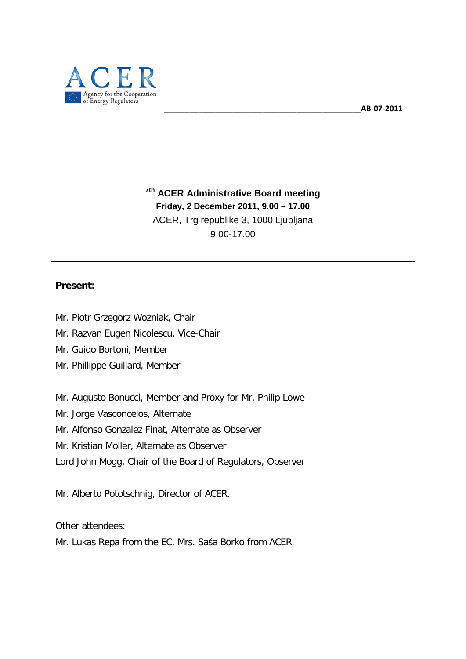

**7th ACER Administrative Board meeting Friday, 2 December 2011, 9.00 – 17.00** ACER, Trg republike 3, 1000 Ljubljana 9.00-17.00

### **Present:**

- Mr. Piotr Grzegorz Wozniak, Chair
- Mr. Razvan Eugen Nicolescu, Vice-Chair
- Mr. Guido Bortoni, Member
- Mr. Phillippe Guillard, Member

Mr. Augusto Bonucci, Member and Proxy for Mr. Philip Lowe

- Mr. Jorge Vasconcelos, Alternate
- Mr. Alfonso Gonzalez Finat, Alternate as Observer
- Mr. Kristian Moller, Alternate as Observer
- Lord John Mogg, Chair of the Board of Regulators, Observer

Mr. Alberto Pototschnig, Director of ACER.

Other attendees:

<span id="page-0-0"></span>Mr. Lukas Repa from the EC, Mrs. Saša Borko from ACER.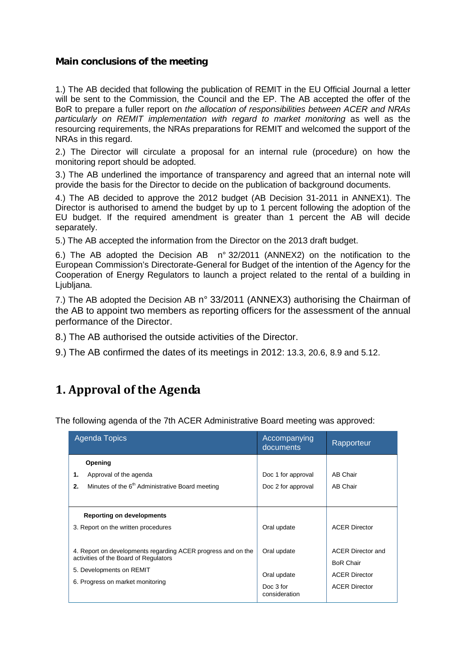### **Main conclusions of the meeting**

1.) The AB decided that following the publication of REMIT in the EU Official Journal a letter will be sent to the Commission, the Council and the EP. The AB accepted the offer of the BoR to prepare a fuller report on *the allocation of responsibilities between ACER and NRAs particularly on REMIT implementation with regard to market monitoring* as well as the resourcing requirements, the NRAs preparations for REMIT and welcomed the support of the NRAs in this regard.

2.) The Director will circulate a proposal for an internal rule (procedure) on how the monitoring report should be adopted.

3.) The AB underlined the importance of transparency and agreed that an internal note will provide the basis for the Director to decide on the publication of background documents.

4.) The AB decided to approve the 2012 budget (AB Decision 31-2011 in ANNEX1). The Director is authorised to amend the budget by up to 1 percent following the adoption of the EU budget. If the required amendment is greater than 1 percent the AB will decide separately.

5.) The AB accepted the information from the Director on the 2013 draft budget.

6.) The AB adopted the Decision AB n° 32/2011 (ANNEX2) on the notification to the European Commission's Directorate-General for Budget of the intention of the Agency for the Cooperation of Energy Regulators to launch a project related to the rental of a building in Ljubljana.

7.) The AB adopted the Decision AB n° 33/2011 (ANNEX3) authorising the Chairman of the AB to appoint two members as reporting officers for the assessment of the annual performance of the Director.

8.) The AB authorised the outside activities of the Director.

9.) The AB confirmed the dates of its meetings in 2012: 13.3, 20.6, 8.9 and 5.12.

### **1. Approval of the Agenda**

The following agenda of the 7th ACER Administrative Board meeting was approved:

| Agenda Topics                                                                                                                                                         | Accompanying<br>documents                                | Rapporteur                                                                                   |
|-----------------------------------------------------------------------------------------------------------------------------------------------------------------------|----------------------------------------------------------|----------------------------------------------------------------------------------------------|
| Opening<br>1.<br>Approval of the agenda<br>Minutes of the 6 <sup>th</sup> Administrative Board meeting<br>2.                                                          | Doc 1 for approval<br>Doc 2 for approval                 | AB Chair<br>AB Chair                                                                         |
| <b>Reporting on developments</b><br>3. Report on the written procedures                                                                                               | Oral update                                              | <b>ACER Director</b>                                                                         |
| 4. Report on developments regarding ACER progress and on the<br>activities of the Board of Regulators<br>5. Developments on REMIT<br>6. Progress on market monitoring | Oral update<br>Oral update<br>Doc 3 for<br>consideration | <b>ACER Director and</b><br><b>BoR Chair</b><br><b>ACER Director</b><br><b>ACER Director</b> |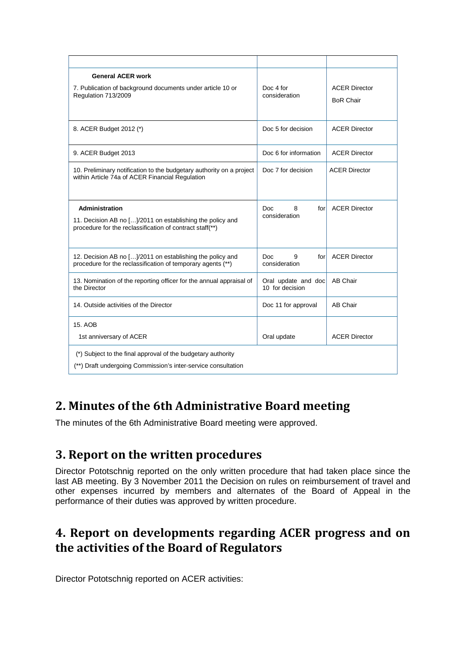| <b>General ACER work</b><br>7. Publication of background documents under article 10 or<br>Regulation 713/2009                           | Doc 4 for<br>consideration             | <b>ACER Director</b><br><b>BoR Chair</b> |
|-----------------------------------------------------------------------------------------------------------------------------------------|----------------------------------------|------------------------------------------|
| 8. ACER Budget 2012 (*)                                                                                                                 | Doc 5 for decision                     | <b>ACER Director</b>                     |
| 9. ACER Budget 2013                                                                                                                     | Doc 6 for information                  | <b>ACER Director</b>                     |
| 10. Preliminary notification to the budgetary authority on a project<br>within Article 74a of ACER Financial Regulation                 | Doc 7 for decision                     | <b>ACER Director</b>                     |
| Administration<br>11. Decision AB no []/2011 on establishing the policy and<br>procedure for the reclassification of contract staff(**) | Doc<br>8<br>forl<br>consideration      | <b>ACER Director</b>                     |
| 12. Decision AB no []/2011 on establishing the policy and<br>procedure for the reclassification of temporary agents (**)                | Doc.<br>9<br>forl<br>consideration     | <b>ACER Director</b>                     |
| 13. Nomination of the reporting officer for the annual appraisal of<br>the Director                                                     | Oral update and doc<br>10 for decision | <b>AB Chair</b>                          |
| 14. Outside activities of the Director                                                                                                  | Doc 11 for approval                    | <b>AB Chair</b>                          |
| 15. AOB                                                                                                                                 |                                        |                                          |
| 1st anniversary of ACER                                                                                                                 | Oral update                            | <b>ACER Director</b>                     |
| (*) Subject to the final approval of the budgetary authority<br>(**) Draft undergoing Commission's inter-service consultation           |                                        |                                          |

# **2. Minutes of the 6th Administrative Board meeting**

The minutes of the 6th Administrative Board meeting were approved.

### **3. Report on the written procedures**

Director Pototschnig reported on the only written procedure that had taken place since the last AB meeting. By 3 November 2011 the Decision on rules on reimbursement of travel and other expenses incurred by members and alternates of the Board of Appeal in the performance of their duties was approved by written procedure.

## **4. Report on developments regarding ACER progress and on the activities of the Board of Regulators**

Director Pototschnig reported on ACER activities: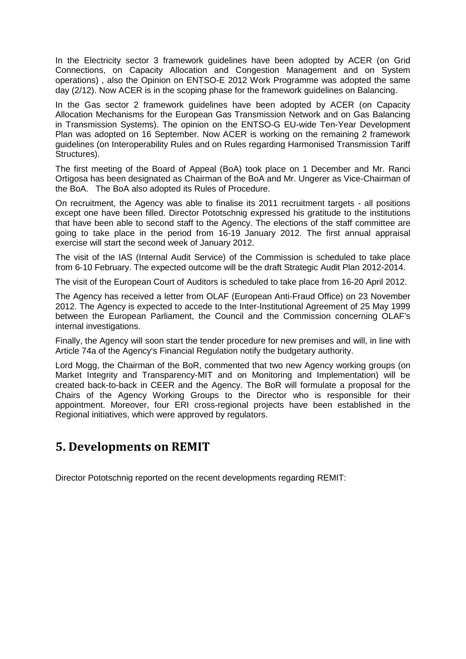In the Electricity sector 3 framework guidelines have been adopted by ACER (on Grid Connections, on Capacity Allocation and Congestion Management and on System operations) , also the Opinion on ENTSO-E 2012 Work Programme was adopted the same day (2/12). Now ACER is in the scoping phase for the framework guidelines on Balancing.

In the Gas sector 2 framework guidelines have been adopted by ACER (on Capacity Allocation Mechanisms for the European Gas Transmission Network and on Gas Balancing in Transmission Systems). The opinion on the ENTSO-G EU-wide Ten-Year Development Plan was adopted on 16 September. Now ACER is working on the remaining 2 framework guidelines (on Interoperability Rules and on Rules regarding Harmonised Transmission Tariff Structures).

The first meeting of the Board of Appeal (BoA) took place on 1 December and Mr. Ranci Ortigosa has been designated as Chairman of the BoA and Mr. Ungerer as Vice-Chairman of the BoA. The BoA also adopted its Rules of Procedure.

On recruitment, the Agency was able to finalise its 2011 recruitment targets - all positions except one have been filled. Director Pototschnig expressed his gratitude to the institutions that have been able to second staff to the Agency. The elections of the staff committee are going to take place in the period from 16-19 January 2012. The first annual appraisal exercise will start the second week of January 2012.

The visit of the IAS (Internal Audit Service) of the Commission is scheduled to take place from 6-10 February. The expected outcome will be the draft Strategic Audit Plan 2012-2014.

The visit of the European Court of Auditors is scheduled to take place from 16-20 April 2012.

The Agency has received a letter from OLAF (European Anti-Fraud Office) on 23 November 2012. The Agency is expected to accede to the Inter-Institutional Agreement of 25 May 1999 between the European Parliament, the Council and the Commission concerning OLAF's internal investigations.

Finally, the Agency will soon start the tender procedure for new premises and will, in line with Article 74a of the Agency's Financial Regulation notify the budgetary authority.

Lord Mogg, the Chairman of the BoR, commented that two new Agency working groups (on Market Integrity and Transparency-MIT and on Monitoring and Implementation) will be created back-to-back in CEER and the Agency. The BoR will formulate a proposal for the Chairs of the Agency Working Groups to the Director who is responsible for their appointment. Moreover, four ERI cross-regional projects have been established in the Regional initiatives, which were approved by regulators.

### **5. Developments on REMIT**

Director Pototschnig reported on the recent developments regarding REMIT: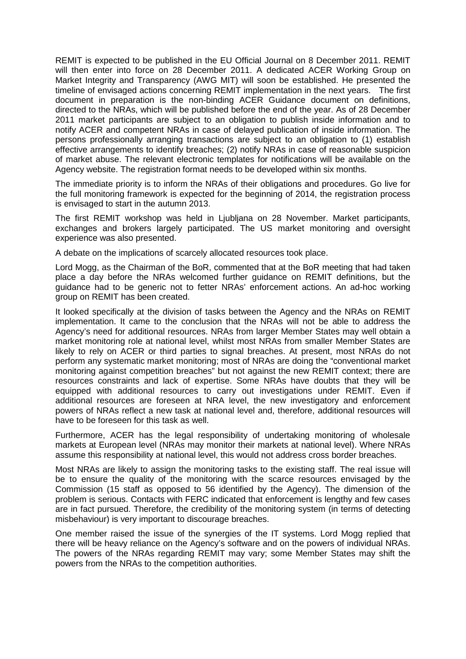REMIT is expected to be published in the EU Official Journal on 8 December 2011. REMIT will then enter into force on 28 December 2011. A dedicated ACER Working Group on Market Integrity and Transparency (AWG MIT) will soon be established. He presented the timeline of envisaged actions concerning REMIT implementation in the next years. The first document in preparation is the non-binding ACER Guidance document on definitions, directed to the NRAs, which will be published before the end of the year. As of 28 December 2011 market participants are subject to an obligation to publish inside information and to notify ACER and competent NRAs in case of delayed publication of inside information. The persons professionally arranging transactions are subject to an obligation to (1) establish effective arrangements to identify breaches; (2) notify NRAs in case of reasonable suspicion of market abuse. The relevant electronic templates for notifications will be available on the Agency website. The registration format needs to be developed within six months.

The immediate priority is to inform the NRAs of their obligations and procedures. Go live for the full monitoring framework is expected for the beginning of 2014, the registration process is envisaged to start in the autumn 2013.

The first REMIT workshop was held in Ljubljana on 28 November. Market participants, exchanges and brokers largely participated. The US market monitoring and oversight experience was also presented.

A debate on the implications of scarcely allocated resources took place.

Lord Mogg, as the Chairman of the BoR, commented that at the BoR meeting that had taken place a day before the NRAs welcomed further guidance on REMIT definitions, but the guidance had to be generic not to fetter NRAs' enforcement actions. An ad-hoc working group on REMIT has been created.

It looked specifically at the division of tasks between the Agency and the NRAs on REMIT implementation. It came to the conclusion that the NRAs will not be able to address the Agency's need for additional resources. NRAs from larger Member States may well obtain a market monitoring role at national level, whilst most NRAs from smaller Member States are likely to rely on ACER or third parties to signal breaches. At present, most NRAs do not perform any systematic market monitoring; most of NRAs are doing the "conventional market monitoring against competition breaches" but not against the new REMIT context; there are resources constraints and lack of expertise. Some NRAs have doubts that they will be equipped with additional resources to carry out investigations under REMIT. Even if additional resources are foreseen at NRA level, the new investigatory and enforcement powers of NRAs reflect a new task at national level and, therefore, additional resources will have to be foreseen for this task as well.

Furthermore, ACER has the legal responsibility of undertaking monitoring of wholesale markets at European level (NRAs may monitor their markets at national level). Where NRAs assume this responsibility at national level, this would not address cross border breaches.

Most NRAs are likely to assign the monitoring tasks to the existing staff. The real issue will be to ensure the quality of the monitoring with the scarce resources envisaged by the Commission (15 staff as opposed to 56 identified by the Agency). The dimension of the problem is serious. Contacts with FERC indicated that enforcement is lengthy and few cases are in fact pursued. Therefore, the credibility of the monitoring system (in terms of detecting misbehaviour) is very important to discourage breaches.

One member raised the issue of the synergies of the IT systems. Lord Mogg replied that there will be heavy reliance on the Agency's software and on the powers of individual NRAs. The powers of the NRAs regarding REMIT may vary; some Member States may shift the powers from the NRAs to the competition authorities.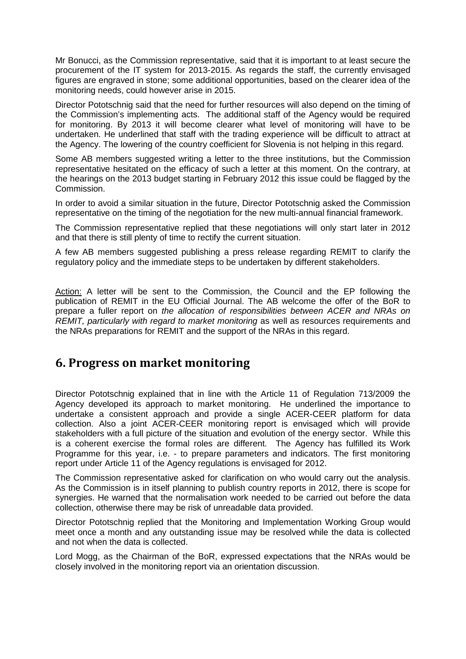Mr Bonucci, as the Commission representative, said that it is important to at least secure the procurement of the IT system for 2013-2015. As regards the staff, the currently envisaged figures are engraved in stone; some additional opportunities, based on the clearer idea of the monitoring needs, could however arise in 2015.

Director Pototschnig said that the need for further resources will also depend on the timing of the Commission's implementing acts. The additional staff of the Agency would be required for monitoring. By 2013 it will become clearer what level of monitoring will have to be undertaken. He underlined that staff with the trading experience will be difficult to attract at the Agency. The lowering of the country coefficient for Slovenia is not helping in this regard.

Some AB members suggested writing a letter to the three institutions, but the Commission representative hesitated on the efficacy of such a letter at this moment. On the contrary, at the hearings on the 2013 budget starting in February 2012 this issue could be flagged by the Commission.

In order to avoid a similar situation in the future, Director Pototschnig asked the Commission representative on the timing of the negotiation for the new multi-annual financial framework.

The Commission representative replied that these negotiations will only start later in 2012 and that there is still plenty of time to rectify the current situation.

A few AB members suggested publishing a press release regarding REMIT to clarify the regulatory policy and the immediate steps to be undertaken by different stakeholders.

Action: A letter will be sent to the Commission, the Council and the EP following the publication of REMIT in the EU Official Journal. The AB welcome the offer of the BoR to prepare a fuller report on *the allocation of responsibilities between ACER and NRAs on REMIT, particularly with regard to market monitoring* as well as resources requirements and the NRAs preparations for REMIT and the support of the NRAs in this regard.

### **6. Progress on market monitoring**

Director Pototschnig explained that in line with the Article 11 of Regulation 713/2009 the Agency developed its approach to market monitoring. He underlined the importance to undertake a consistent approach and provide a single ACER-CEER platform for data collection. Also a joint ACER-CEER monitoring report is envisaged which will provide stakeholders with a full picture of the situation and evolution of the energy sector. While this is a coherent exercise the formal roles are different. The Agency has fulfilled its Work Programme for this year, i.e. - to prepare parameters and indicators. The first monitoring report under Article 11 of the Agency regulations is envisaged for 2012.

The Commission representative asked for clarification on who would carry out the analysis. As the Commission is in itself planning to publish country reports in 2012, there is scope for synergies. He warned that the normalisation work needed to be carried out before the data collection, otherwise there may be risk of unreadable data provided.

Director Pototschnig replied that the Monitoring and Implementation Working Group would meet once a month and any outstanding issue may be resolved while the data is collected and not when the data is collected.

Lord Mogg, as the Chairman of the BoR, expressed expectations that the NRAs would be closely involved in the monitoring report via an orientation discussion.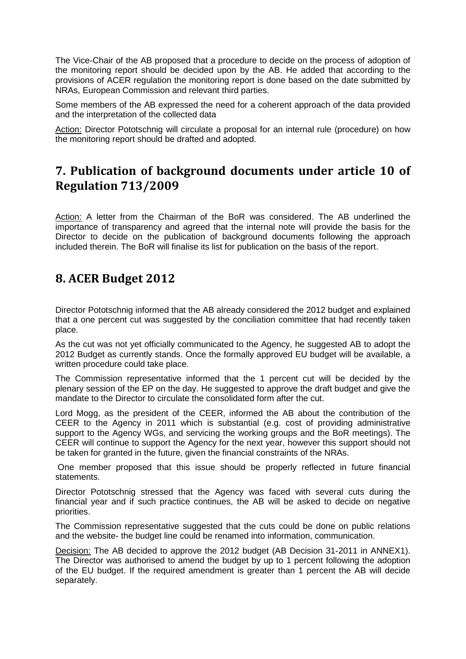The Vice-Chair of the AB proposed that a procedure to decide on the process of adoption of the monitoring report should be decided upon by the AB. He added that according to the provisions of ACER regulation the monitoring report is done based on the date submitted by NRAs, European Commission and relevant third parties.

Some members of the AB expressed the need for a coherent approach of the data provided and the interpretation of the collected data

Action: Director Pototschnig will circulate a proposal for an internal rule (procedure) on how the monitoring report should be drafted and adopted.

### **7. Publication of background documents under article 10 of Regulation 713/2009**

Action: A letter from the Chairman of the BoR was considered. The AB underlined the importance of transparency and agreed that the internal note will provide the basis for the Director to decide on the publication of background documents following the approach included therein. The BoR will finalise its list for publication on the basis of the report.

## **8. ACER Budget 2012**

Director Pototschnig informed that the AB already considered the 2012 budget and explained that a one percent cut was suggested by the conciliation committee that had recently taken place.

As the cut was not yet officially communicated to the Agency, he suggested AB to adopt the 2012 Budget as currently stands. Once the formally approved EU budget will be available, a written procedure could take place.

The Commission representative informed that the 1 percent cut will be decided by the plenary session of the EP on the day. He suggested to approve the draft budget and give the mandate to the Director to circulate the consolidated form after the cut.

Lord Mogg, as the president of the CEER, informed the AB about the contribution of the CEER to the Agency in 2011 which is substantial (e.g. cost of providing administrative support to the Agency WGs, and servicing the working groups and the BoR meetings). The CEER will continue to support the Agency for the next year, however this support should not be taken for granted in the future, given the financial constraints of the NRAs.

One member proposed that this issue should be properly reflected in future financial statements.

Director Pototschnig stressed that the Agency was faced with several cuts during the financial year and if such practice continues, the AB will be asked to decide on negative priorities.

The Commission representative suggested that the cuts could be done on public relations and the website- the budget line could be renamed into information, communication.

Decision: The AB decided to approve the 2012 budget (AB Decision 31-2011 in ANNEX1). The Director was authorised to amend the budget by up to 1 percent following the adoption of the EU budget. If the required amendment is greater than 1 percent the AB will decide separately.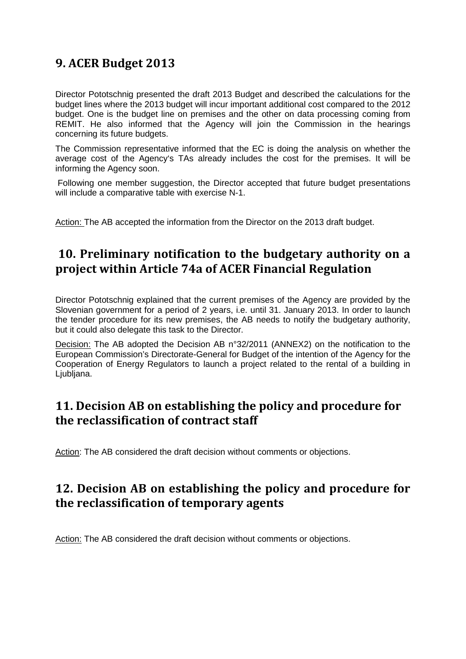## **9. ACER Budget 2013**

Director Pototschnig presented the draft 2013 Budget and described the calculations for the budget lines where the 2013 budget will incur important additional cost compared to the 2012 budget. One is the budget line on premises and the other on data processing coming from REMIT. He also informed that the Agency will join the Commission in the hearings concerning its future budgets.

The Commission representative informed that the EC is doing the analysis on whether the average cost of the Agency's TAs already includes the cost for the premises. It will be informing the Agency soon.

Following one member suggestion, the Director accepted that future budget presentations will include a comparative table with exercise N-1.

Action: The AB accepted the information from the Director on the 2013 draft budget.

### **10. Preliminary notification to the budgetary authority on a project within Article 74a of ACER Financial Regulation**

Director Pototschnig explained that the current premises of the Agency are provided by the Slovenian government for a period of 2 years, i.e. until 31. January 2013. In order to launch the tender procedure for its new premises, the AB needs to notify the budgetary authority, but it could also delegate this task to the Director.

Decision: The AB adopted the Decision AB n°32/2011 (ANNEX2) on the notification to the European Commission's Directorate-General for Budget of the intention of the Agency for the Cooperation of Energy Regulators to launch a project related to the rental of a building in Ljubljana.

### **11. Decision AB on establishing the policy and procedure for the reclassification of contract staff**

Action: The AB considered the draft decision without comments or objections.

## **12. Decision AB on establishing the policy and procedure for the reclassification of temporary agents**

Action: The AB considered the draft decision without comments or objections.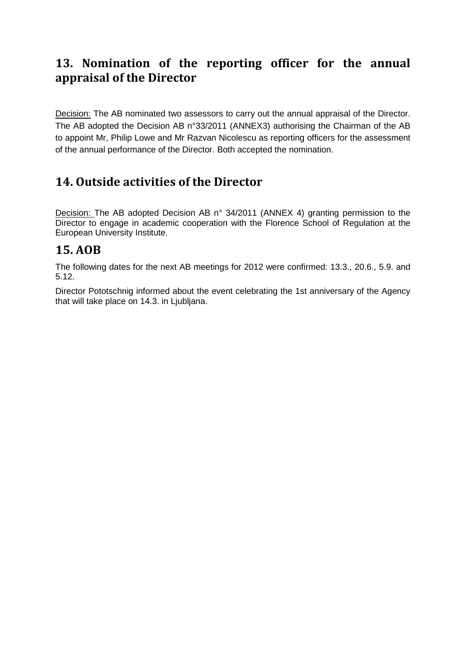## **13. Nomination of the reporting officer for the annual appraisal of the Director**

Decision: The AB nominated two assessors to carry out the annual appraisal of the Director. The AB adopted the Decision AB n°33/2011 (ANNEX3) authorising the Chairman of the AB to appoint Mr, Philip Lowe and Mr Razvan Nicolescu as reporting officers for the assessment of the annual performance of the Director. Both accepted the nomination.

# **14. Outside activities of the Director**

Decision: The AB adopted Decision AB n° 34/2011 (ANNEX 4) granting permission to the Director to engage in academic cooperation with the Florence School of Regulation at the European University Institute.

### **15. AOB**

The following dates for the next AB meetings for 2012 were confirmed: 13.3., 20.6., 5.9. and 5.12.

Director Pototschnig informed about the event celebrating the 1st anniversary of the Agency that will take place on 14.3. in Ljubljana.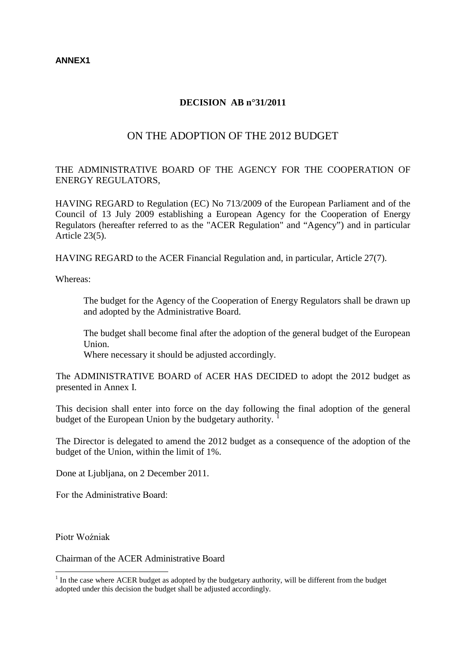#### **DECISION AB n°31/2011**

### ON THE ADOPTION OF THE 2012 BUDGET

THE ADMINISTRATIVE BOARD OF THE AGENCY FOR THE COOPERATION OF ENERGY REGULATORS,

HAVING REGARD to Regulation (EC) No 713/2009 of the European Parliament and of the Council of 13 July 2009 establishing a European Agency for the Cooperation of Energy Regulators (hereafter referred to as the "ACER Regulation" and "Agency") and in particular Article 23(5).

HAVING REGARD to the ACER Financial Regulation and, in particular, Article 27(7).

Whereas:

The budget for the Agency of the Cooperation of Energy Regulators shall be drawn up and adopted by the Administrative Board.

The budget shall become final after the adoption of the general budget of the European Union.

Where necessary it should be adjusted accordingly.

The ADMINISTRATIVE BOARD of ACER HAS DECIDED to adopt the 2012 budget as presented in Annex I.

This decision shall enter into force on the day following the final adoption of the general budget of the European Union by the budgetary authority. [1](#page-0-0)

The Director is delegated to amend the 2012 budget as a consequence of the adoption of the budget of the Union, within the limit of 1%.

Done at Ljubljana, on 2 December 2011.

Fог the Administrative Board:

Piotr Woźniak

Chairman of the ACER Administrative Board

 $1$  In the case where ACER budget as adopted by the budgetary authority, will be different from the budget adopted under this decision the budget shall be adjusted accordingly.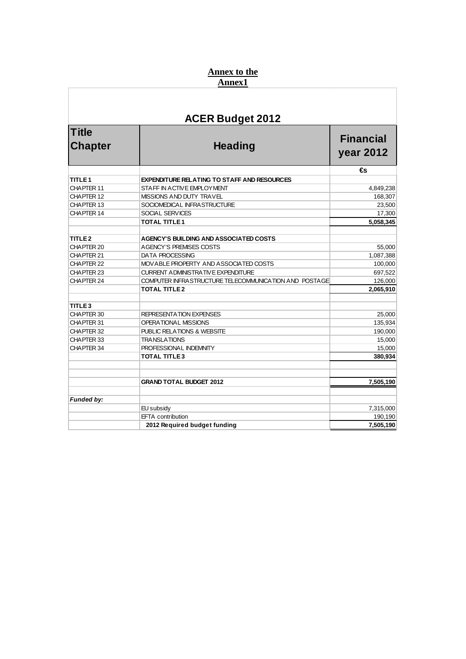#### **Annex to the Annex1**

### **Title Chapter Heading Financial year 2012 €s TITLE 1 EXPENDITURE RELATING TO STAFF AND RESOURCES** CHAPTER 11 STAFF IN ACTIVE EMPLOYMENT CHAPTER 11 4,849,238 CHAPTER 12 MISSIONS AND DUTY TRAVEL 168,307 CHAPTER 13 SOCIOMEDICAL INFRASTRUCTURE 23,500 CHAPTER 14 SOCIAL SERVICES 17,300 **TOTAL TITLE 1 5,058,345 TITLE 2 AGENCY'S BUILDING AND ASSOCIATED COSTS** CHAPTER 20 AGENCY'S PREMISES COSTS 55,000<br>CHAPTER 21 DATA PROCESSING 1.087.388 DATA PROCESSING 1,087,388 CHAPTER 22 MOVABLE PROPERTY AND ASSOCIATED COSTS 100,000 CHAPTER 23 CURRENT ADMINISTRATIVE EXPENDITURE 697,522 CHAPTER 24 COMPUTER INFRASTRUCTURE TELECOMMUNICATION AND POSTAGE 126,000 **TOTAL TITLE 2 2,065,910 TITLE 3** REPRESENTATION EXPENSES 25,000 CHAPTER 31 OPERATIONAL MISSIONS 135,934 CHAPTER 32 PUBLIC RELATIONS & WEBSITE 190,000 CHAPTER 33 TRANSLATIONS 15,000<br>CHAPTER 34 PROFESSIONAL INDEMNITY 15,000 PROFESSIONAL INDEMNITY 15,000<br>TOTAL TITLE 3 380.934 **TOTAL TITLE 3 GRAND TOTAL BUDGET 2012 7,505,190** *Funded by:* EU subsidy 7,315,000 EFTA contribution 190,190<br>
2012 Required budget funding 2012 Required budget funding 2012 Required budget funding **2012 Required budget funding 7,505,190 ACER Budget 2012**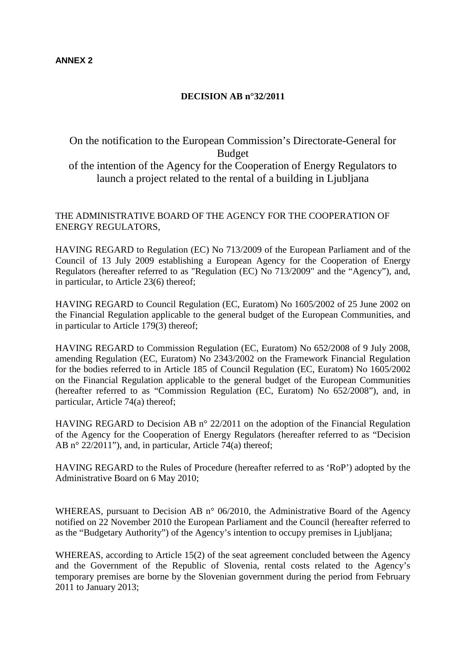#### **ANNEX 2**

#### **DECISION AB n°32/2011**

On the notification to the European Commission's Directorate-General for Budget of the intention of the Agency for the Cooperation of Energy Regulators to launch a project related to the rental of a building in Ljubljana

#### THE ADMINISTRATIVE BOARD OF THE AGENCY FOR THE COOPERATION OF ENERGY REGULATORS,

HAVING REGARD to Regulation (EC) No 713/2009 of the European Parliament and of the Council of 13 July 2009 establishing a European Agency for the Cooperation of Energy Regulators (hereafter referred to as "Regulation (EC) No 713/2009" and the "Agency"), and, in particular, to Article 23(6) thereof;

HAVING REGARD to Council Regulation (EC, Euratom) No 1605/2002 of 25 June 2002 on the Financial Regulation applicable to the general budget of the European Communities, and in particular to Article 179(3) thereof;

HAVING REGARD to Commission Regulation (EC, Euratom) No 652/2008 of 9 July 2008, amending Regulation (EC, Euratom) No 2343/2002 on the Framework Financial Regulation for the bodies referred to in Article 185 of Council Regulation (EC, Euratom) No 1605/2002 on the Financial Regulation applicable to the general budget of the European Communities (hereafter referred to as "Commission Regulation (EC, Euratom) No 652/2008"), and, in particular, Article 74(a) thereof;

HAVING REGARD to Decision AB n° 22/2011 on the adoption of the Financial Regulation of the Agency for the Cooperation of Energy Regulators (hereafter referred to as "Decision AB n° 22/2011"), and, in particular, Article 74(a) thereof;

HAVING REGARD to the Rules of Procedure (hereafter referred to as 'RoP') adopted by the Administrative Board on 6 May 2010;

WHEREAS, pursuant to Decision AB n° 06/2010, the Administrative Board of the Agency notified on 22 November 2010 the European Parliament and the Council (hereafter referred to as the "Budgetary Authority") of the Agency's intention to occupy premises in Ljubljana;

WHEREAS, according to Article 15(2) of the seat agreement concluded between the Agency and the Government of the Republic of Slovenia, rental costs related to the Agency's temporary premises are borne by the Slovenian government during the period from February 2011 to January 2013;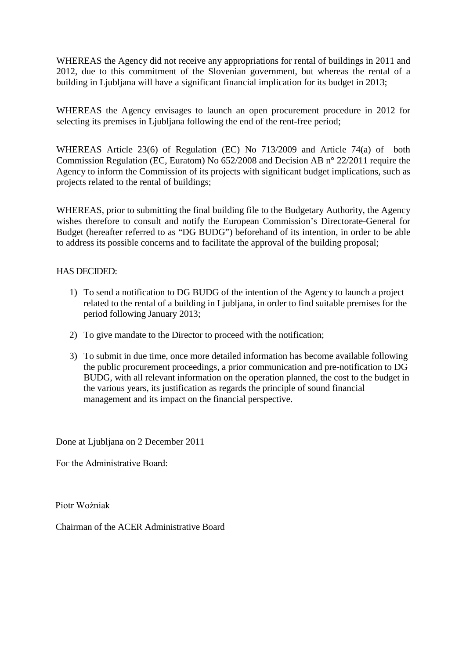WHEREAS the Agency did not receive any appropriations for rental of buildings in 2011 and 2012, due to this commitment of the Slovenian government, but whereas the rental of a building in Ljubljana will have a significant financial implication for its budget in 2013;

WHEREAS the Agency envisages to launch an open procurement procedure in 2012 for selecting its premises in Ljubljana following the end of the rent-free period;

WHEREAS Article 23(6) of Regulation (EC) No 713/2009 and Article 74(a) of both Commission Regulation (EC, Euratom) No 652/2008 and Decision AB n° 22/2011 require the Agency to inform the Commission of its projects with significant budget implications, such as projects related to the rental of buildings;

WHEREAS, prior to submitting the final building file to the Budgetary Authority, the Agency wishes therefore to consult and notify the European Commission's Directorate-General for Budget (hereafter referred to as "DG BUDG") beforehand of its intention, in order to be able to address its possible concerns and to facilitate the approval of the building proposal;

### HAS DECIDED:

- 1) To send a notification to DG BUDG of the intention of the Agency to launch a project related to the rental of a building in Ljubljana, in order to find suitable premises for the period following January 2013;
- 2) To give mandate to the Director to proceed with the notification;
- 3) To submit in due time, once more detailed information has become available following the public procurement proceedings, a prior communication and pre-notification to DG BUDG, with all relevant information on the operation planned, the cost to the budget in the various years, its justification as regards the principle of sound financial management and its impact on the financial perspective.

Done at Ljubljana on 2 December 2011

Fог the Administrative Board:

Piotr Woźniak

Chairman of the ACER Administrative Board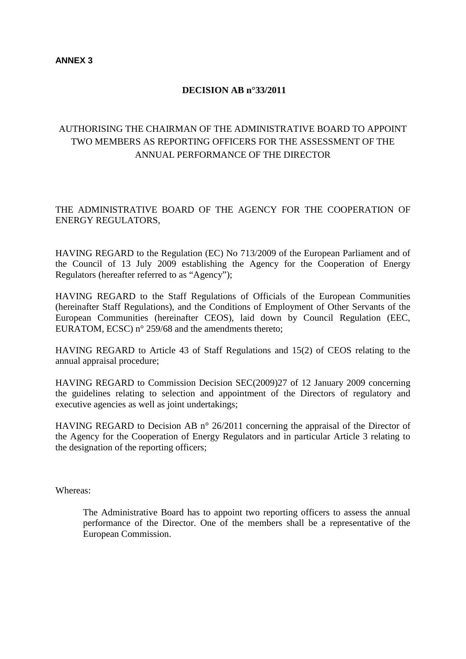### **DECISION AB n°33/2011**

### AUTHORISING THE CHAIRMAN OF THE ADMINISTRATIVE BOARD TO APPOINT TWO MEMBERS AS REPORTING OFFICERS FOR THE ASSESSMENT OF THE ANNUAL PERFORMANCE OF THE DIRECTOR

### THE ADMINISTRATIVE BOARD OF THE AGENCY FOR THE COOPERATION OF ENERGY REGULATORS,

HAVING REGARD to the Regulation (EC) No 713/2009 of the European Parliament and of the Council of 13 July 2009 establishing the Agency for the Cooperation of Energy Regulators (hereafter referred to as "Agency");

HAVING REGARD to the Staff Regulations of Officials of the European Communities (hereinafter Staff Regulations), and the Conditions of Employment of Other Servants of the European Communities (hereinafter CEOS), laid down by Council Regulation (EEC, EURATOM, ECSC) n° 259/68 and the amendments thereto;

HAVING REGARD to Article 43 of Staff Regulations and 15(2) of CEOS relating to the annual appraisal procedure;

HAVING REGARD to Commission Decision SEC(2009)27 of 12 January 2009 concerning the guidelines relating to selection and appointment of the Directors of regulatory and executive agencies as well as joint undertakings;

HAVING REGARD to Decision AB n° 26/2011 concerning the appraisal of the Director of the Agency for the Cooperation of Energy Regulators and in particular Article 3 relating to the designation of the reporting officers;

Whereas:

The Administrative Board has to appoint two reporting officers to assess the annual performance of the Director. One of the members shall be a representative of the European Commission.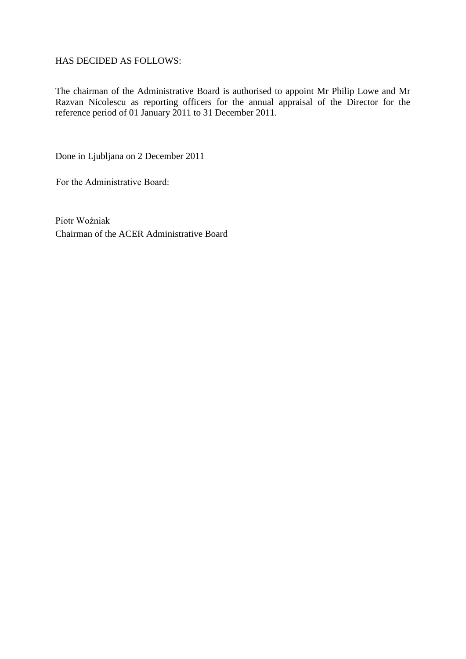HAS DECIDED AS FOLLOWS:

The chairman of the Administrative Board is authorised to appoint Mr Philip Lowe and Mr Razvan Nicolescu as reporting officers for the annual appraisal of the Director for the reference period of 01 January 2011 to 31 December 2011.

Done in Ljubljana on 2 December 2011

Fоr the Administrative Board:

Piotr Woźniak Chairman of the ACER Administrative Board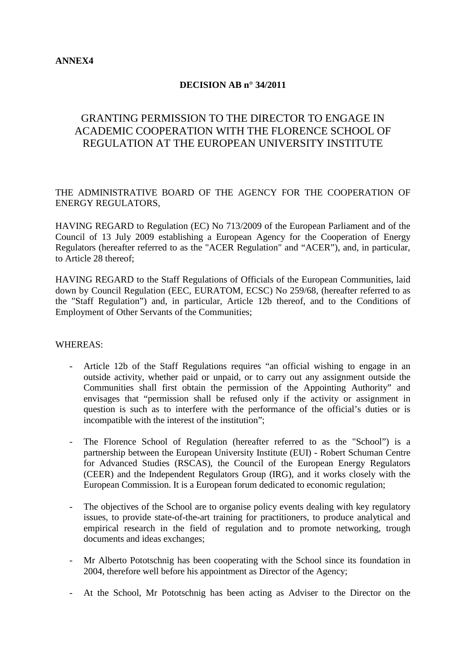#### **DECISION AB n° 34/2011**

### GRANTING PERMISSION TO THE DIRECTOR TO ENGAGE IN ACADEMIC COOPERATION WITH THE FLORENCE SCHOOL OF REGULATION AT THE EUROPEAN UNIVERSITY INSTITUTE

THE ADMINISTRATIVE BOARD OF THE AGENCY FOR THE COOPERATION OF ENERGY REGULATORS,

HAVING REGARD to Regulation (EC) No 713/2009 of the European Parliament and of the Council of 13 July 2009 establishing a European Agency for the Cooperation of Energy Regulators (hereafter referred to as the "ACER Regulation" and "ACER"), and, in particular, to Article 28 thereof;

HAVING REGARD to the Staff Regulations of Officials of the European Communities, laid down by Council Regulation (EEC, EURATOM, ECSC) No 259/68, (hereafter referred to as the "Staff Regulation") and, in particular, Article 12b thereof, and to the Conditions of Employment of Other Servants of the Communities;

#### WHEREAS:

- Article 12b of the Staff Regulations requires "an official wishing to engage in an outside activity, whether paid or unpaid, or to carry out any assignment outside the Communities shall first obtain the permission of the Appointing Authority" and envisages that "permission shall be refused only if the activity or assignment in question is such as to interfere with the performance of the official's duties or is incompatible with the interest of the institution";
- The Florence School of Regulation (hereafter referred to as the "School") is a partnership between the [European University Institute](http://www.eui.eu/Home.aspx) (EUI) - [Robert Schuman Centre](http://www.eui.eu/DepartmentsAndCentres/RobertSchumanCentre/Index.aspx)  [for Advanced Studies](http://www.eui.eu/DepartmentsAndCentres/RobertSchumanCentre/Index.aspx) (RSCAS), the [Council of the European Energy Regulators](http://www.energy-regulators.eu/) (CEER) and the [Independent Regulators Group](http://www.irg.eu/) (IRG), and it works closely with the [European Commission.](http://ec.europa.eu/index_en.htm) It is a European forum dedicated to economic regulation;
- The objectives of the School are to organise policy events dealing with key regulatory issues, to provide state-of-the-art training for practitioners, to produce analytical and empirical research in the field of regulation and to promote networking, trough documents and ideas exchanges;
- Mr Alberto Pototschnig has been cooperating with the School since its foundation in 2004, therefore well before his appointment as Director of the Agency;
- At the School, Mr Pototschnig has been acting as Adviser to the Director on the